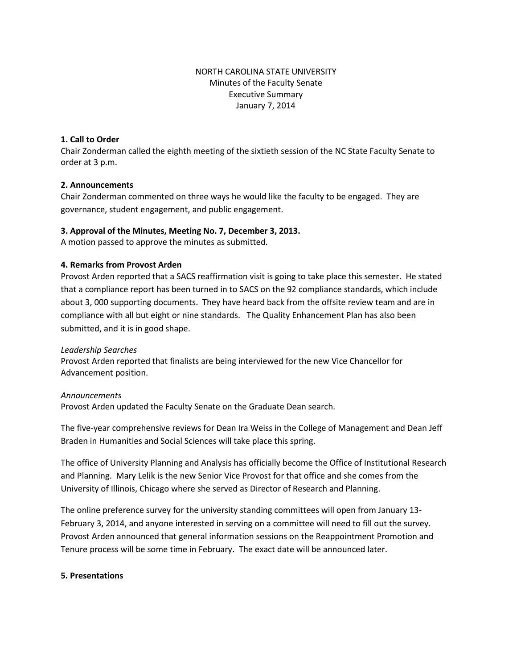# NORTH CAROLINA STATE UNIVERSITY Minutes of the Faculty Senate Executive Summary January 7, 2014

### **1. Call to Order**

Chair Zonderman called the eighth meeting of the sixtieth session of the NC State Faculty Senate to order at 3 p.m.

## **2. Announcements**

Chair Zonderman commented on three ways he would like the faculty to be engaged. They are governance, student engagement, and public engagement.

## **3. Approval of the Minutes, Meeting No. 7, December 3, 2013.**

A motion passed to approve the minutes as submitted.

## **4. Remarks from Provost Arden**

Provost Arden reported that a SACS reaffirmation visit is going to take place this semester. He stated that a compliance report has been turned in to SACS on the 92 compliance standards, which include about 3, 000 supporting documents. They have heard back from the offsite review team and are in compliance with all but eight or nine standards. The Quality Enhancement Plan has also been submitted, and it is in good shape.

### *Leadership Searches*

Provost Arden reported that finalists are being interviewed for the new Vice Chancellor for Advancement position.

### *Announcements*

Provost Arden updated the Faculty Senate on the Graduate Dean search.

The five-year comprehensive reviews for Dean Ira Weiss in the College of Management and Dean Jeff Braden in Humanities and Social Sciences will take place this spring.

The office of University Planning and Analysis has officially become the Office of Institutional Research and Planning. Mary Lelik is the new Senior Vice Provost for that office and she comes from the University of Illinois, Chicago where she served as Director of Research and Planning.

The online preference survey for the university standing committees will open from January 13- February 3, 2014, and anyone interested in serving on a committee will need to fill out the survey. Provost Arden announced that general information sessions on the Reappointment Promotion and Tenure process will be some time in February. The exact date will be announced later.

### **5. Presentations**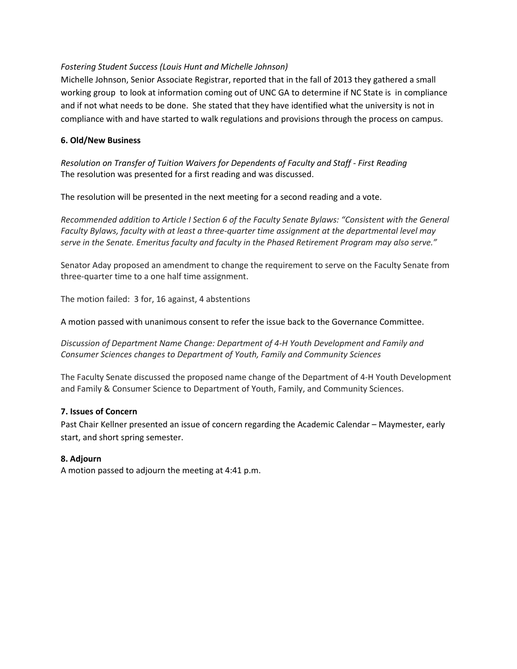## *Fostering Student Success (Louis Hunt and Michelle Johnson)*

Michelle Johnson, Senior Associate Registrar, reported that in the fall of 2013 they gathered a small working group to look at information coming out of UNC GA to determine if NC State is in compliance and if not what needs to be done. She stated that they have identified what the university is not in compliance with and have started to walk regulations and provisions through the process on campus.

### **6. Old/New Business**

*Resolution on Transfer of Tuition Waivers for Dependents of Faculty and Staff - First Reading* The resolution was presented for a first reading and was discussed.

The resolution will be presented in the next meeting for a second reading and a vote.

*Recommended addition to Article I Section 6 of the Faculty Senate Bylaws: "Consistent with the General Faculty Bylaws, faculty with at least a three-quarter time assignment at the departmental level may serve in the Senate. Emeritus faculty and faculty in the Phased Retirement Program may also serve."*

Senator Aday proposed an amendment to change the requirement to serve on the Faculty Senate from three-quarter time to a one half time assignment.

The motion failed: 3 for, 16 against, 4 abstentions

A motion passed with unanimous consent to refer the issue back to the Governance Committee.

*Discussion of Department Name Change: Department of 4-H Youth Development and Family and Consumer Sciences changes to Department of Youth, Family and Community Sciences*

The Faculty Senate discussed the proposed name change of the Department of 4-H Youth Development and Family & Consumer Science to Department of Youth, Family, and Community Sciences.

### **7. Issues of Concern**

Past Chair Kellner presented an issue of concern regarding the Academic Calendar – Maymester, early start, and short spring semester.

### **8. Adjourn**

A motion passed to adjourn the meeting at 4:41 p.m.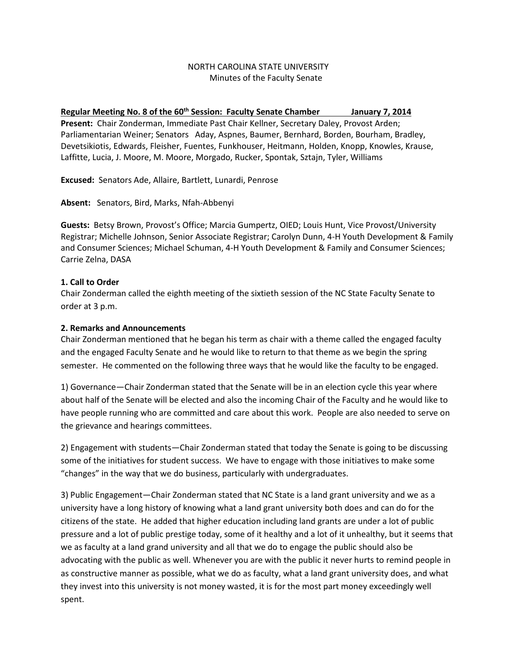### NORTH CAROLINA STATE UNIVERSITY Minutes of the Faculty Senate

### Regular Meeting No. 8 of the 60<sup>th</sup> Session: Faculty Senate Chamber January 7, 2014

**Present:** Chair Zonderman, Immediate Past Chair Kellner, Secretary Daley, Provost Arden; Parliamentarian Weiner; Senators Aday, Aspnes, Baumer, Bernhard, Borden, Bourham, Bradley, Devetsikiotis, Edwards, Fleisher, Fuentes, Funkhouser, Heitmann, Holden, Knopp, Knowles, Krause, Laffitte, Lucia, J. Moore, M. Moore, Morgado, Rucker, Spontak, Sztajn, Tyler, Williams

**Excused:** Senators Ade, Allaire, Bartlett, Lunardi, Penrose

**Absent:** Senators, Bird, Marks, Nfah-Abbenyi

**Guests:** Betsy Brown, Provost's Office; Marcia Gumpertz, OIED; Louis Hunt, Vice Provost/University Registrar; Michelle Johnson, Senior Associate Registrar; Carolyn Dunn, 4-H Youth Development & Family and Consumer Sciences; Michael Schuman, 4-H Youth Development & Family and Consumer Sciences; Carrie Zelna, DASA

## **1. Call to Order**

Chair Zonderman called the eighth meeting of the sixtieth session of the NC State Faculty Senate to order at 3 p.m.

## **2. Remarks and Announcements**

Chair Zonderman mentioned that he began his term as chair with a theme called the engaged faculty and the engaged Faculty Senate and he would like to return to that theme as we begin the spring semester. He commented on the following three ways that he would like the faculty to be engaged.

1) Governance—Chair Zonderman stated that the Senate will be in an election cycle this year where about half of the Senate will be elected and also the incoming Chair of the Faculty and he would like to have people running who are committed and care about this work. People are also needed to serve on the grievance and hearings committees.

2) Engagement with students—Chair Zonderman stated that today the Senate is going to be discussing some of the initiatives for student success. We have to engage with those initiatives to make some "changes" in the way that we do business, particularly with undergraduates.

3) Public Engagement—Chair Zonderman stated that NC State is a land grant university and we as a university have a long history of knowing what a land grant university both does and can do for the citizens of the state. He added that higher education including land grants are under a lot of public pressure and a lot of public prestige today, some of it healthy and a lot of it unhealthy, but it seems that we as faculty at a land grand university and all that we do to engage the public should also be advocating with the public as well. Whenever you are with the public it never hurts to remind people in as constructive manner as possible, what we do as faculty, what a land grant university does, and what they invest into this university is not money wasted, it is for the most part money exceedingly well spent.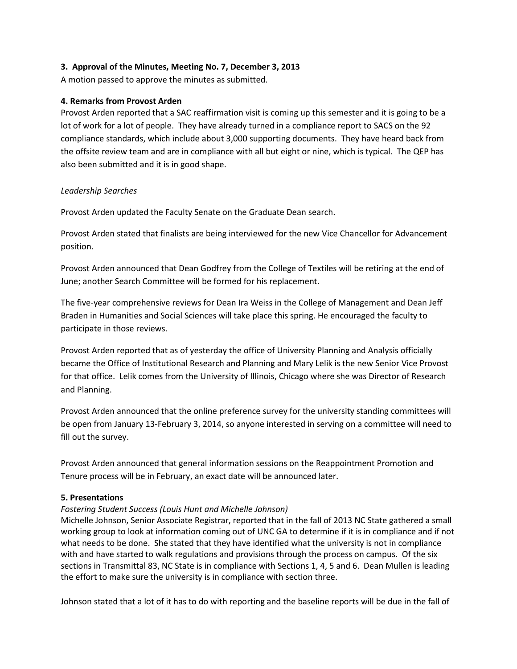### **3. Approval of the Minutes, Meeting No. 7, December 3, 2013**

A motion passed to approve the minutes as submitted.

### **4. Remarks from Provost Arden**

Provost Arden reported that a SAC reaffirmation visit is coming up this semester and it is going to be a lot of work for a lot of people. They have already turned in a compliance report to SACS on the 92 compliance standards, which include about 3,000 supporting documents. They have heard back from the offsite review team and are in compliance with all but eight or nine, which is typical. The QEP has also been submitted and it is in good shape.

## *Leadership Searches*

Provost Arden updated the Faculty Senate on the Graduate Dean search.

Provost Arden stated that finalists are being interviewed for the new Vice Chancellor for Advancement position.

Provost Arden announced that Dean Godfrey from the College of Textiles will be retiring at the end of June; another Search Committee will be formed for his replacement.

The five-year comprehensive reviews for Dean Ira Weiss in the College of Management and Dean Jeff Braden in Humanities and Social Sciences will take place this spring. He encouraged the faculty to participate in those reviews.

Provost Arden reported that as of yesterday the office of University Planning and Analysis officially became the Office of Institutional Research and Planning and Mary Lelik is the new Senior Vice Provost for that office. Lelik comes from the University of Illinois, Chicago where she was Director of Research and Planning.

Provost Arden announced that the online preference survey for the university standing committees will be open from January 13-February 3, 2014, so anyone interested in serving on a committee will need to fill out the survey.

Provost Arden announced that general information sessions on the Reappointment Promotion and Tenure process will be in February, an exact date will be announced later.

### **5. Presentations**

### *Fostering Student Success (Louis Hunt and Michelle Johnson)*

Michelle Johnson, Senior Associate Registrar, reported that in the fall of 2013 NC State gathered a small working group to look at information coming out of UNC GA to determine if it is in compliance and if not what needs to be done. She stated that they have identified what the university is not in compliance with and have started to walk regulations and provisions through the process on campus. Of the six sections in Transmittal 83, NC State is in compliance with Sections 1, 4, 5 and 6. Dean Mullen is leading the effort to make sure the university is in compliance with section three.

Johnson stated that a lot of it has to do with reporting and the baseline reports will be due in the fall of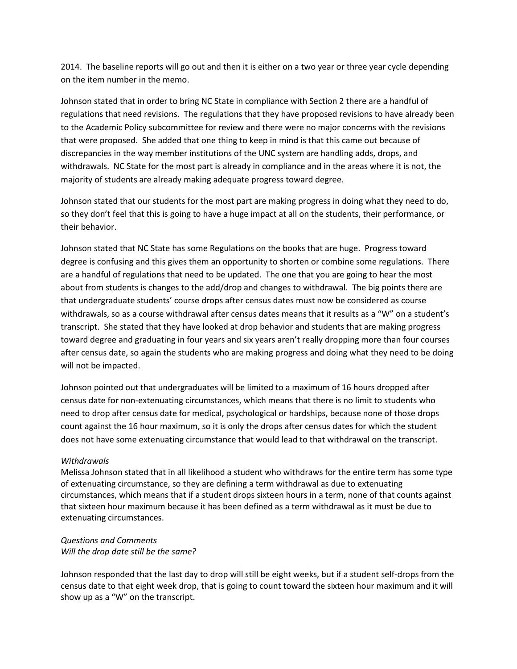2014. The baseline reports will go out and then it is either on a two year or three year cycle depending on the item number in the memo.

Johnson stated that in order to bring NC State in compliance with Section 2 there are a handful of regulations that need revisions. The regulations that they have proposed revisions to have already been to the Academic Policy subcommittee for review and there were no major concerns with the revisions that were proposed. She added that one thing to keep in mind is that this came out because of discrepancies in the way member institutions of the UNC system are handling adds, drops, and withdrawals. NC State for the most part is already in compliance and in the areas where it is not, the majority of students are already making adequate progress toward degree.

Johnson stated that our students for the most part are making progress in doing what they need to do, so they don't feel that this is going to have a huge impact at all on the students, their performance, or their behavior.

Johnson stated that NC State has some Regulations on the books that are huge. Progress toward degree is confusing and this gives them an opportunity to shorten or combine some regulations. There are a handful of regulations that need to be updated. The one that you are going to hear the most about from students is changes to the add/drop and changes to withdrawal. The big points there are that undergraduate students' course drops after census dates must now be considered as course withdrawals, so as a course withdrawal after census dates means that it results as a "W" on a student's transcript. She stated that they have looked at drop behavior and students that are making progress toward degree and graduating in four years and six years aren't really dropping more than four courses after census date, so again the students who are making progress and doing what they need to be doing will not be impacted.

Johnson pointed out that undergraduates will be limited to a maximum of 16 hours dropped after census date for non-extenuating circumstances, which means that there is no limit to students who need to drop after census date for medical, psychological or hardships, because none of those drops count against the 16 hour maximum, so it is only the drops after census dates for which the student does not have some extenuating circumstance that would lead to that withdrawal on the transcript.

### *Withdrawals*

Melissa Johnson stated that in all likelihood a student who withdraws for the entire term has some type of extenuating circumstance, so they are defining a term withdrawal as due to extenuating circumstances, which means that if a student drops sixteen hours in a term, none of that counts against that sixteen hour maximum because it has been defined as a term withdrawal as it must be due to extenuating circumstances.

### *Questions and Comments Will the drop date still be the same?*

Johnson responded that the last day to drop will still be eight weeks, but if a student self-drops from the census date to that eight week drop, that is going to count toward the sixteen hour maximum and it will show up as a "W" on the transcript.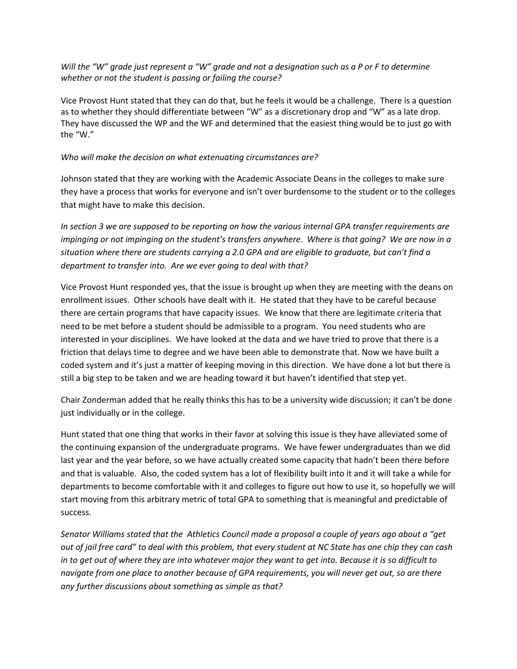*Will the "W" grade just represent a "W" grade and not a designation such as a P or F to determine whether or not the student is passing or failing the course?*

Vice Provost Hunt stated that they can do that, but he feels it would be a challenge. There is a question as to whether they should differentiate between "W" as a discretionary drop and "W" as a late drop. They have discussed the WP and the WF and determined that the easiest thing would be to just go with the "W."

#### *Who will make the decision on what extenuating circumstances are?*

Johnson stated that they are working with the Academic Associate Deans in the colleges to make sure they have a process that works for everyone and isn't over burdensome to the student or to the colleges that might have to make this decision.

*In section 3 we are supposed to be reporting on how the various internal GPA transfer requirements are impinging or not impinging on the student's transfers anywhere. Where is that going? We are now in a situation where there are students carrying a 2.0 GPA and are eligible to graduate, but can't find a department to transfer into. Are we ever going to deal with that?* 

Vice Provost Hunt responded yes, that the issue is brought up when they are meeting with the deans on enrollment issues. Other schools have dealt with it. He stated that they have to be careful because there are certain programs that have capacity issues. We know that there are legitimate criteria that need to be met before a student should be admissible to a program. You need students who are interested in your disciplines. We have looked at the data and we have tried to prove that there is a friction that delays time to degree and we have been able to demonstrate that. Now we have built a coded system and it's just a matter of keeping moving in this direction. We have done a lot but there is still a big step to be taken and we are heading toward it but haven't identified that step yet.

Chair Zonderman added that he really thinks this has to be a university wide discussion; it can't be done just individually or in the college.

Hunt stated that one thing that works in their favor at solving this issue is they have alleviated some of the continuing expansion of the undergraduate programs. We have fewer undergraduates than we did last year and the year before, so we have actually created some capacity that hadn't been there before and that is valuable. Also, the coded system has a lot of flexibility built into it and it will take a while for departments to become comfortable with it and colleges to figure out how to use it, so hopefully we will start moving from this arbitrary metric of total GPA to something that is meaningful and predictable of success.

*Senator Williams stated that the Athletics Council made a proposal a couple of years ago about a "get out of jail free card" to deal with this problem, that every student at NC State has one chip they can cash in to get out of where they are into whatever major they want to get into. Because it is so difficult to navigate from one place to another because of GPA requirements, you will never get out, so are there any further discussions about something as simple as that?*